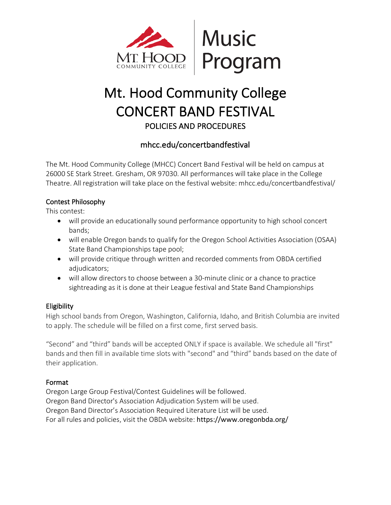

# Mt. Hood Community College CONCERT BAND FESTIVAL POLICIES AND PROCEDURES

## mhcc.edu/concertbandfestival

The Mt. Hood Community College (MHCC) Concert Band Festival will be held on campus at 26000 SE Stark Street. Gresham, OR 97030. All performances will take place in the College Theatre. All registration will take place on the festival website: mhcc.edu/concertbandfestival/

## Contest Philosophy

This contest:

- will provide an educationally sound performance opportunity to high school concert bands;
- will enable Oregon bands to qualify for the Oregon School Activities Association (OSAA) State Band Championships tape pool;
- will provide critique through written and recorded comments from OBDA certified adjudicators;
- will allow directors to choose between a 30-minute clinic or a chance to practice sightreading as it is done at their League festival and State Band Championships

## **Eligibility**

High school bands from Oregon, Washington, California, Idaho, and British Columbia are invited to apply. The schedule will be filled on a first come, first served basis.

"Second" and "third" bands will be accepted ONLY if space is available. We schedule all "first" bands and then fill in available time slots with "second" and "third" bands based on the date of their application.

## Format

Oregon Large Group Festival/Contest Guidelines will be followed. Oregon Band Director's Association Adjudication System will be used. Oregon Band Director's Association Required Literature List will be used. For all rules and policies, visit the OBDA website: https://www.oregonbda.org/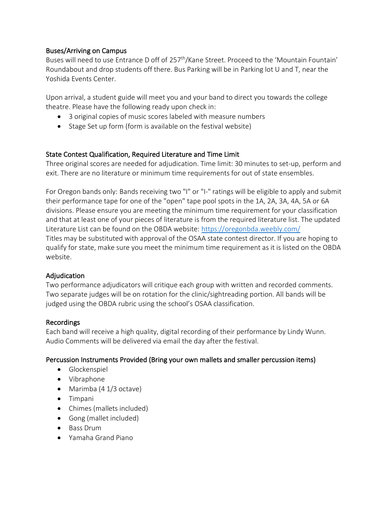#### Buses/Arriving on Campus

Buses will need to use Entrance D off of 257<sup>th</sup>/Kane Street. Proceed to the 'Mountain Fountain' Roundabout and drop students off there. Bus Parking will be in Parking lot U and T, near the Yoshida Events Center.

Upon arrival, a student guide will meet you and your band to direct you towards the college theatre. Please have the following ready upon check in:

- 3 original copies of music scores labeled with measure numbers
- Stage Set up form (form is available on the festival website)

#### State Contest Qualification, Required Literature and Time Limit

Three original scores are needed for adjudication. Time limit: 30 minutes to set-up, perform and exit. There are no literature or minimum time requirements for out of state ensembles.

For Oregon bands only: Bands receiving two "I" or "I-" ratings will be eligible to apply and submit their performance tape for one of the "open" tape pool spots in the 1A, 2A, 3A, 4A, 5A or 6A divisions. Please ensure you are meeting the minimum time requirement for your classification and that at least one of your pieces of literature is from the required literature list. The updated Literature List can be found on the OBDA website: https://oregonbda.weebly.com/ Titles may be substituted with approval of the OSAA state contest director. If you are hoping to qualify for state, make sure you meet the minimum time requirement as it is listed on the OBDA website.

#### Adjudication

Two performance adjudicators will critique each group with written and recorded comments. Two separate judges will be on rotation for the clinic/sightreading portion. All bands will be judged using the OBDA rubric using the school's OSAA classification.

#### Recordings

Each band will receive a high quality, digital recording of their performance by Lindy Wunn. Audio Comments will be delivered via email the day after the festival.

#### Percussion Instruments Provided (Bring your own mallets and smaller percussion items)

- Glockenspiel
- Vibraphone
- Marimba (4 1/3 octave)
- Timpani
- Chimes (mallets included)
- Gong (mallet included)
- Bass Drum
- Yamaha Grand Piano